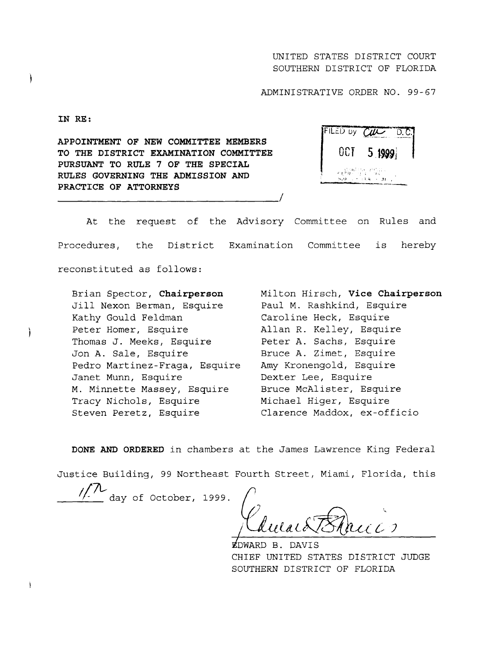## UNITED STATES DISTRICT COURT SOUTHERN DISTRICT OF FLORIDA

ADMINISTRATIVE ORDER NO. 99-67

**IN RE :**

APPOINTMENT OF NEW COMMITTEE **MEMBERS** TO THE DISTRICT EXAMINATION COMMITTEE PURSUANT TO RULE 7 OF THE SPECIAL RULES GOVERNING THE ADMISSION AND PRACTICE OF ATTORNEYS

| FILED by CIL                                              | D.C.   |
|-----------------------------------------------------------|--------|
| OCT                                                       | 5.1999 |
| 2월 16일 11월 11일<br>전문제가 있고 11월<br>$8.9 - 1.14 + M_{\odot}$ |        |

At the request of the Advisory Committee on Rules and Procedures, the District Examination Committee is hereby reconstituted as follows :

Brian Spector, **Chairperson** Jill Nexon Berman, Esquire Kathy Gould Feldman Peter Homer, Esquire Thomas J. Meeks, Esquire Jon A. Sale, Esquire Pedro Martinez-Fraga, Esquire Amy Kronengold, Esquire Janet Munn, Esquire M . Minnette Massey, Esquire Tracy Nichols, Esquire Steven Peretz, Esquire

Milton Hirsch, **Vice Chairperson** Paul M. Rashkind, Esquire Caroline Heck, Esquire Allan R. Kelley, Esquire Peter A. Sachs, Esquire Bruce A. Zimet, Esquire Dexter Lee, Esquire Bruce McAlister, Esquire Michael Higer, Esquire Clarence Maddox, ex-officio

DONE AND ORDERED in chambers at the James Lawrence King Federal

Justice Building, 99 Northeast Fourth Street, Miami, Florida, this

**//7L-**day of October, 1999 .

 $llalb$ </u> *Branco* 

DWARD B . DAVI S CHIEF UNITED STATES DISTRICT JUDGE SOUTHERN DISTRICT OF FLORIDA